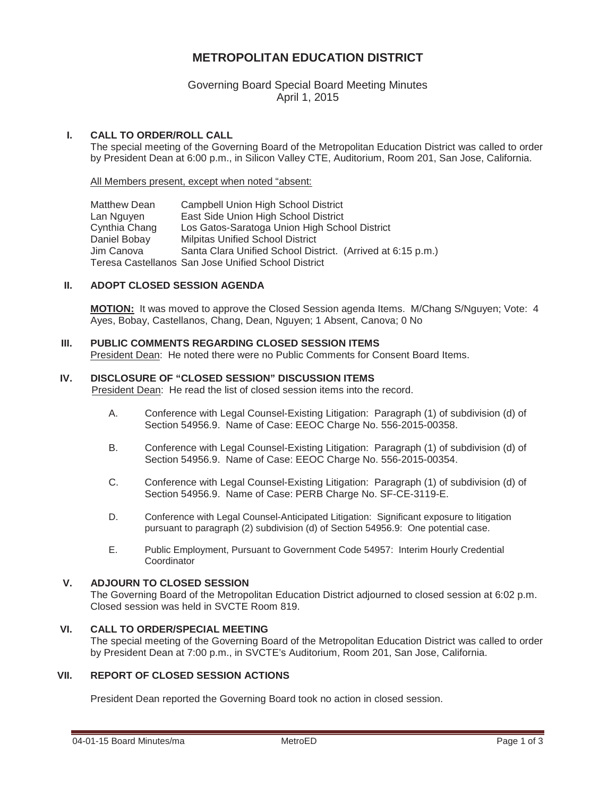# **METROPOLITAN EDUCATION DISTRICT**

# Governing Board Special Board Meeting Minutes April 1, 2015

### **I. CALL TO ORDER/ROLL CALL**

The special meeting of the Governing Board of the Metropolitan Education District was called to order by President Dean at 6:00 p.m., in Silicon Valley CTE, Auditorium, Room 201, San Jose, California.

All Members present, except when noted "absent:

Matthew Dean Campbell Union High School District Lan Nguyen East Side Union High School District Cynthia Chang Los Gatos-Saratoga Union High School District Daniel Bobay Milpitas Unified School District Jim Canova Santa Clara Unified School District. (Arrived at 6:15 p.m.) Teresa Castellanos San Jose Unified School District

#### **II. ADOPT CLOSED SESSION AGENDA**

**MOTION:** It was moved to approve the Closed Session agenda Items. M/Chang S/Nguyen; Vote: 4 Ayes, Bobay, Castellanos, Chang, Dean, Nguyen; 1 Absent, Canova; 0 No

# **III. PUBLIC COMMENTS REGARDING CLOSED SESSION ITEMS**

President Dean: He noted there were no Public Comments for Consent Board Items.

### **IV. DISCLOSURE OF "CLOSED SESSION" DISCUSSION ITEMS**

President Dean: He read the list of closed session items into the record.

- A. Conference with Legal Counsel-Existing Litigation: Paragraph (1) of subdivision (d) of Section 54956.9. Name of Case: EEOC Charge No. 556-2015-00358.
- B. Conference with Legal Counsel-Existing Litigation: Paragraph (1) of subdivision (d) of Section 54956.9. Name of Case: EEOC Charge No. 556-2015-00354.
- C. Conference with Legal Counsel-Existing Litigation: Paragraph (1) of subdivision (d) of Section 54956.9. Name of Case: PERB Charge No. SF-CE-3119-E.
- D. Conference with Legal Counsel-Anticipated Litigation: Significant exposure to litigation pursuant to paragraph (2) subdivision (d) of Section 54956.9: One potential case.
- E. Public Employment, Pursuant to Government Code 54957: Interim Hourly Credential **Coordinator**

### **V. ADJOURN TO CLOSED SESSION**

The Governing Board of the Metropolitan Education District adjourned to closed session at 6:02 p.m. Closed session was held in SVCTE Room 819.

#### **VI. CALL TO ORDER/SPECIAL MEETING**

The special meeting of the Governing Board of the Metropolitan Education District was called to order by President Dean at 7:00 p.m., in SVCTE's Auditorium, Room 201, San Jose, California.

### **VII. REPORT OF CLOSED SESSION ACTIONS**

President Dean reported the Governing Board took no action in closed session.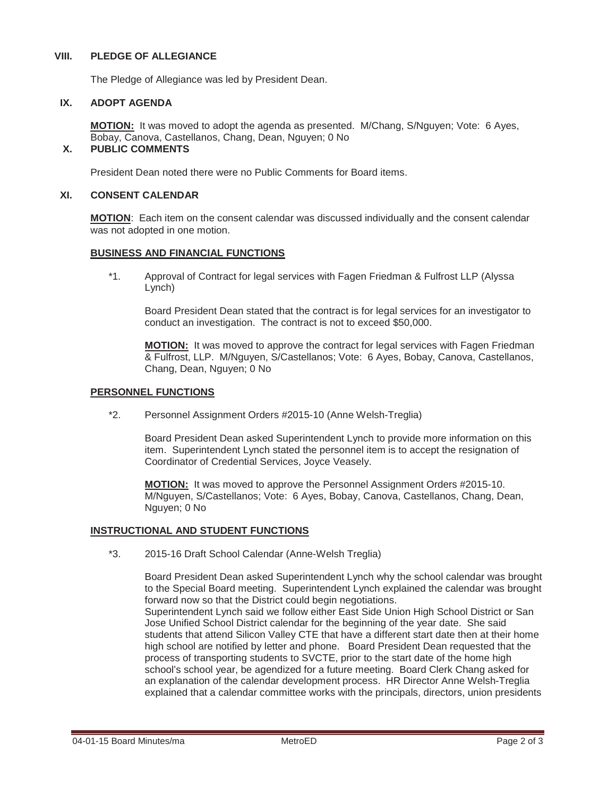#### **VIII. PLEDGE OF ALLEGIANCE**

The Pledge of Allegiance was led by President Dean.

#### **IX. ADOPT AGENDA**

**MOTION:** It was moved to adopt the agenda as presented. M/Chang, S/Nguyen; Vote: 6 Ayes, Bobay, Canova, Castellanos, Chang, Dean, Nguyen; 0 No

## **X. PUBLIC COMMENTS**

President Dean noted there were no Public Comments for Board items.

### **XI. CONSENT CALENDAR**

**MOTION**: Each item on the consent calendar was discussed individually and the consent calendar was not adopted in one motion.

#### **BUSINESS AND FINANCIAL FUNCTIONS**

\*1. Approval of Contract for legal services with Fagen Friedman & Fulfrost LLP (Alyssa Lynch)

Board President Dean stated that the contract is for legal services for an investigator to conduct an investigation. The contract is not to exceed \$50,000.

**MOTION:** It was moved to approve the contract for legal services with Fagen Friedman & Fulfrost, LLP. M/Nguyen, S/Castellanos; Vote: 6 Ayes, Bobay, Canova, Castellanos, Chang, Dean, Nguyen; 0 No

#### **PERSONNEL FUNCTIONS**

\*2. Personnel Assignment Orders #2015-10 (Anne Welsh-Treglia)

Board President Dean asked Superintendent Lynch to provide more information on this item. Superintendent Lynch stated the personnel item is to accept the resignation of Coordinator of Credential Services, Joyce Veasely.

**MOTION:** It was moved to approve the Personnel Assignment Orders #2015-10. M/Nguyen, S/Castellanos; Vote: 6 Ayes, Bobay, Canova, Castellanos, Chang, Dean, Nguyen; 0 No

#### **INSTRUCTIONAL AND STUDENT FUNCTIONS**

\*3. 2015-16 Draft School Calendar (Anne-Welsh Treglia)

Board President Dean asked Superintendent Lynch why the school calendar was brought to the Special Board meeting. Superintendent Lynch explained the calendar was brought forward now so that the District could begin negotiations.

Superintendent Lynch said we follow either East Side Union High School District or San Jose Unified School District calendar for the beginning of the year date. She said students that attend Silicon Valley CTE that have a different start date then at their home high school are notified by letter and phone. Board President Dean requested that the process of transporting students to SVCTE, prior to the start date of the home high school's school year, be agendized for a future meeting. Board Clerk Chang asked for an explanation of the calendar development process. HR Director Anne Welsh-Treglia explained that a calendar committee works with the principals, directors, union presidents